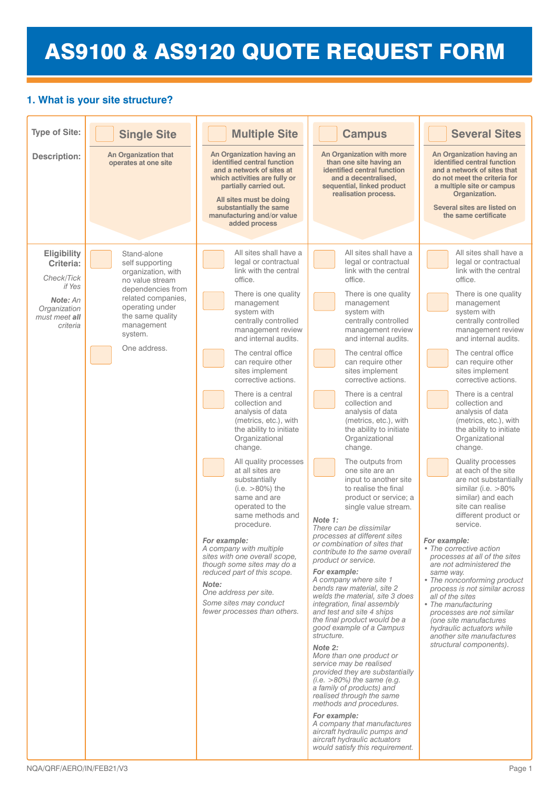# AS9100 & AS9120 QUOTE REQUEST FORM

# **1. What is your site structure?**

| <b>Type of Site:</b><br><b>Description:</b>                                                                                                  | <b>Single Site</b><br><b>An Organization that</b><br>operates at one site                                                                                                                          | <b>Multiple Site</b><br>An Organization having an<br>identified central function<br>and a network of sites at<br>which activities are fully or<br>partially carried out.<br>All sites must be doing<br>substantially the same<br>manufacturing and/or value<br>added process                                                                                                                                                                                                                                                                                                                                                                                                                                                                                                                                                                  | <b>Campus</b><br>An Organization with more<br>than one site having an<br>identified central function<br>and a decentralised.<br>sequential, linked product<br>realisation process.                                                                                                                                                                                                                                                                                                                                                                                                                                                                                                                                                                                                                                                                                                                                                                                                                                                                                                                                                                                                                                                                                                                                                                                                   | <b>Several Sites</b><br>An Organization having an<br>identified central function<br>and a network of sites that<br>do not meet the criteria for<br>a multiple site or campus<br>Organization.<br>Several sites are listed on<br>the same certificate                                                                                                                                                                                                                                                                                                                                                                                                                                                                                                                                                                                                                                                                                                                                                                   |  |
|----------------------------------------------------------------------------------------------------------------------------------------------|----------------------------------------------------------------------------------------------------------------------------------------------------------------------------------------------------|-----------------------------------------------------------------------------------------------------------------------------------------------------------------------------------------------------------------------------------------------------------------------------------------------------------------------------------------------------------------------------------------------------------------------------------------------------------------------------------------------------------------------------------------------------------------------------------------------------------------------------------------------------------------------------------------------------------------------------------------------------------------------------------------------------------------------------------------------|--------------------------------------------------------------------------------------------------------------------------------------------------------------------------------------------------------------------------------------------------------------------------------------------------------------------------------------------------------------------------------------------------------------------------------------------------------------------------------------------------------------------------------------------------------------------------------------------------------------------------------------------------------------------------------------------------------------------------------------------------------------------------------------------------------------------------------------------------------------------------------------------------------------------------------------------------------------------------------------------------------------------------------------------------------------------------------------------------------------------------------------------------------------------------------------------------------------------------------------------------------------------------------------------------------------------------------------------------------------------------------------|------------------------------------------------------------------------------------------------------------------------------------------------------------------------------------------------------------------------------------------------------------------------------------------------------------------------------------------------------------------------------------------------------------------------------------------------------------------------------------------------------------------------------------------------------------------------------------------------------------------------------------------------------------------------------------------------------------------------------------------------------------------------------------------------------------------------------------------------------------------------------------------------------------------------------------------------------------------------------------------------------------------------|--|
| <b>Eligibility</b><br>Criteria:<br>Check/Tick<br>if Yes<br>Note: An<br>Organization<br>must meet all<br>criteria<br>NQA/QRF/AERO/IN/FEB21/V3 | Stand-alone<br>self supporting<br>organization, with<br>no value stream<br>dependencies from<br>related companies,<br>operating under<br>the same quality<br>management<br>system.<br>One address. | All sites shall have a<br>legal or contractual<br>link with the central<br>office.<br>There is one quality<br>management<br>system with<br>centrally controlled<br>management review<br>and internal audits.<br>The central office<br>can require other<br>sites implement<br>corrective actions.<br>There is a central<br>collection and<br>analysis of data<br>(metrics, etc.), with<br>the ability to initiate<br>Organizational<br>change.<br>All quality processes<br>at all sites are<br>substantially<br>$(i.e. > 80\%)$ the<br>same and are<br>operated to the<br>same methods and<br>procedure.<br>For example:<br>A company with multiple<br>sites with one overall scope,<br>though some sites may do a<br>reduced part of this scope.<br>Note:<br>One address per site.<br>Some sites may conduct<br>fewer processes than others. | All sites shall have a<br>legal or contractual<br>link with the central<br>office.<br>There is one quality<br>management<br>system with<br>centrally controlled<br>management review<br>and internal audits.<br>The central office<br>can require other<br>sites implement<br>corrective actions.<br>There is a central<br>collection and<br>analysis of data<br>(metrics, etc.), with<br>the ability to initiate<br>Organizational<br>change.<br>The outputs from<br>one site are an<br>input to another site<br>to realise the final<br>product or service; a<br>single value stream.<br>Note 1:<br>There can be dissimilar<br>processes at different sites<br>or combination of sites that<br>contribute to the same overall<br>product or service.<br>For example:<br>A company where site 1<br>bends raw material, site 2<br>welds the material, site 3 does<br>integration, final assembly<br>and test and site 4 ships<br>the final product would be a<br>good example of a Campus<br>structure.<br>Note 2:<br>More than one product or<br>service may be realised<br>provided they are substantially<br>$(i.e. >80\%)$ the same (e.g.<br>a family of products) and<br>realised through the same<br>methods and procedures.<br>For example:<br>A company that manufactures<br>aircraft hydraulic pumps and<br>aircraft hydraulic actuators<br>would satisfy this requirement. | All sites shall have a<br>legal or contractual<br>link with the central<br>office.<br>There is one quality<br>management<br>system with<br>centrally controlled<br>management review<br>and internal audits.<br>The central office<br>can require other<br>sites implement<br>corrective actions.<br>There is a central<br>collection and<br>analysis of data<br>(metrics, etc.), with<br>the ability to initiate<br>Organizational<br>change.<br><b>Quality processes</b><br>at each of the site<br>are not substantially<br>similar (i.e. $>80\%$<br>similar) and each<br>site can realise<br>different product or<br>service.<br>For example:<br>• The corrective action<br>processes at all of the sites<br>are not administered the<br>same way.<br>• The nonconforming product<br>process is not similar across<br>all of the sites<br>• The manufacturing<br>processes are not similar<br>(one site manufactures<br>hydraulic actuators while<br>another site manufactures<br>structural components).<br>Page 1 |  |